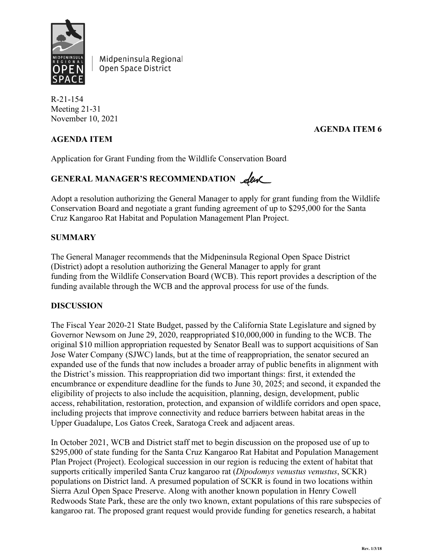

Midpeninsula Regional Open Space District

R-21-154 Meeting 21-31 November 10, 2021

## **AGENDA ITEM**

## **AGENDA ITEM 6**

Application for Grant Funding from the Wildlife Conservation Board

# GENERAL MANAGER'S RECOMMENDATION **Alux**

Adopt a resolution authorizing the General Manager to apply for grant funding from the Wildlife Conservation Board and negotiate a grant funding agreement of up to \$295,000 for the Santa Cruz Kangaroo Rat Habitat and Population Management Plan Project.

## **SUMMARY**

The General Manager recommends that the Midpeninsula Regional Open Space District (District) adopt a resolution authorizing the General Manager to apply for grant funding from the Wildlife Conservation Board (WCB). This report provides a description of the funding available through the WCB and the approval process for use of the funds.

#### **DISCUSSION**

The Fiscal Year 2020-21 State Budget, passed by the California State Legislature and signed by Governor Newsom on June 29, 2020, reappropriated \$10,000,000 in funding to the WCB. The original \$10 million appropriation requested by Senator Beall was to support acquisitions of San Jose Water Company (SJWC) lands, but at the time of reappropriation, the senator secured an expanded use of the funds that now includes a broader array of public benefits in alignment with the District's mission. This reappropriation did two important things: first, it extended the encumbrance or expenditure deadline for the funds to June 30, 2025; and second, it expanded the eligibility of projects to also include the acquisition, planning, design, development, public access, rehabilitation, restoration, protection, and expansion of wildlife corridors and open space, including projects that improve connectivity and reduce barriers between habitat areas in the Upper Guadalupe, Los Gatos Creek, Saratoga Creek and adjacent areas.

In October 2021, WCB and District staff met to begin discussion on the proposed use of up to \$295,000 of state funding for the Santa Cruz Kangaroo Rat Habitat and Population Management Plan Project (Project). Ecological succession in our region is reducing the extent of habitat that supports critically imperiled Santa Cruz kangaroo rat (*Dipodomys venustus venustus*, SCKR) populations on District land. A presumed population of SCKR is found in two locations within Sierra Azul Open Space Preserve. Along with another known population in Henry Cowell Redwoods State Park, these are the only two known, extant populations of this rare subspecies of kangaroo rat. The proposed grant request would provide funding for genetics research, a habitat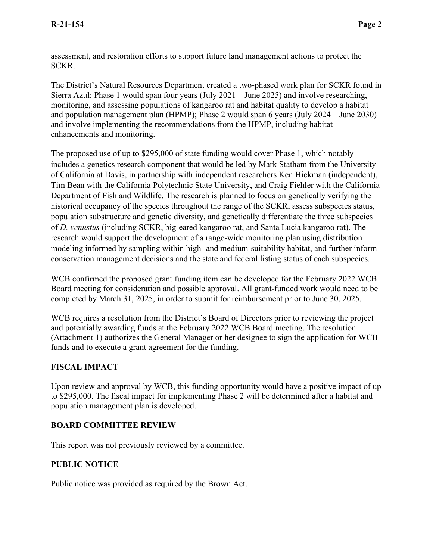assessment, and restoration efforts to support future land management actions to protect the SCKR.

The District's Natural Resources Department created a two-phased work plan for SCKR found in Sierra Azul: Phase 1 would span four years (July 2021 – June 2025) and involve researching, monitoring, and assessing populations of kangaroo rat and habitat quality to develop a habitat and population management plan (HPMP); Phase 2 would span 6 years (July 2024 – June 2030) and involve implementing the recommendations from the HPMP, including habitat enhancements and monitoring.

The proposed use of up to \$295,000 of state funding would cover Phase 1, which notably includes a genetics research component that would be led by Mark Statham from the University of California at Davis, in partnership with independent researchers Ken Hickman (independent), Tim Bean with the California Polytechnic State University, and Craig Fiehler with the California Department of Fish and Wildlife. The research is planned to focus on genetically verifying the historical occupancy of the species throughout the range of the SCKR, assess subspecies status, population substructure and genetic diversity, and genetically differentiate the three subspecies of *D. venustus* (including SCKR, big-eared kangaroo rat, and Santa Lucia kangaroo rat). The research would support the development of a range-wide monitoring plan using distribution modeling informed by sampling within high- and medium-suitability habitat, and further inform conservation management decisions and the state and federal listing status of each subspecies.

WCB confirmed the proposed grant funding item can be developed for the February 2022 WCB Board meeting for consideration and possible approval. All grant-funded work would need to be completed by March 31, 2025, in order to submit for reimbursement prior to June 30, 2025.

WCB requires a resolution from the District's Board of Directors prior to reviewing the project and potentially awarding funds at the February 2022 WCB Board meeting. The resolution (Attachment 1) authorizes the General Manager or her designee to sign the application for WCB funds and to execute a grant agreement for the funding.

## **FISCAL IMPACT**

Upon review and approval by WCB, this funding opportunity would have a positive impact of up to \$295,000. The fiscal impact for implementing Phase 2 will be determined after a habitat and population management plan is developed.

## **BOARD COMMITTEE REVIEW**

This report was not previously reviewed by a committee.

## **PUBLIC NOTICE**

Public notice was provided as required by the Brown Act.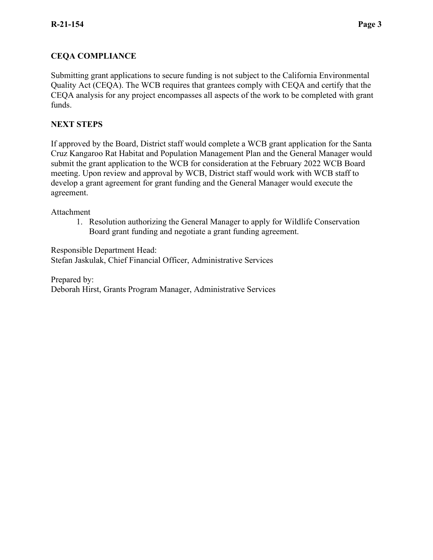## **CEQA COMPLIANCE**

Submitting grant applications to secure funding is not subject to the California Environmental Quality Act (CEQA). The WCB requires that grantees comply with CEQA and certify that the CEQA analysis for any project encompasses all aspects of the work to be completed with grant funds.

## **NEXT STEPS**

If approved by the Board, District staff would complete a WCB grant application for the Santa Cruz Kangaroo Rat Habitat and Population Management Plan and the General Manager would submit the grant application to the WCB for consideration at the February 2022 WCB Board meeting. Upon review and approval by WCB, District staff would work with WCB staff to develop a grant agreement for grant funding and the General Manager would execute the agreement.

#### Attachment

1. Resolution authorizing the General Manager to apply for Wildlife Conservation Board grant funding and negotiate a grant funding agreement.

Responsible Department Head: Stefan Jaskulak, Chief Financial Officer, Administrative Services

Prepared by: Deborah Hirst, Grants Program Manager, Administrative Services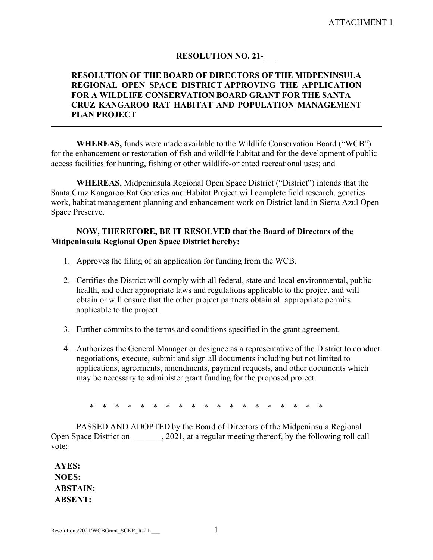### **RESOLUTION NO. 21-\_\_\_**

### **RESOLUTION OF THE BOARD OF DIRECTORS OF THE MIDPENINSULA REGIONAL OPEN SPACE DISTRICT APPROVING THE APPLICATION FOR A WILDLIFE CONSERVATION BOARD GRANT FOR THE SANTA CRUZ KANGAROO RAT HABITAT AND POPULATION MANAGEMENT PLAN PROJECT**

**WHEREAS,** funds were made available to the Wildlife Conservation Board ("WCB") for the enhancement or restoration of fish and wildlife habitat and for the development of public access facilities for hunting, fishing or other wildlife-oriented recreational uses; and

**WHEREAS**, Midpeninsula Regional Open Space District ("District") intends that the Santa Cruz Kangaroo Rat Genetics and Habitat Project will complete field research, genetics work, habitat management planning and enhancement work on District land in Sierra Azul Open Space Preserve.

#### **NOW, THEREFORE, BE IT RESOLVED that the Board of Directors of the Midpeninsula Regional Open Space District hereby:**

- 1. Approves the filing of an application for funding from the WCB.
- 2. Certifies the District will comply with all federal, state and local environmental, public health, and other appropriate laws and regulations applicable to the project and will obtain or will ensure that the other project partners obtain all appropriate permits applicable to the project.
- 3. Further commits to the terms and conditions specified in the grant agreement.
- 4. Authorizes the General Manager or designee as a representative of the District to conduct negotiations, execute, submit and sign all documents including but not limited to applications, agreements, amendments, payment requests, and other documents which may be necessary to administer grant funding for the proposed project.

\* \* \* \* \* \* \* \* \* \* \* \* \* \* \* \* \* \* \*

PASSED AND ADOPTED by the Board of Directors of the Midpeninsula Regional Open Space District on  $\qquad \qquad$ , 2021, at a regular meeting thereof, by the following roll call vote:

**AYES: NOES: ABSTAIN: ABSENT:**